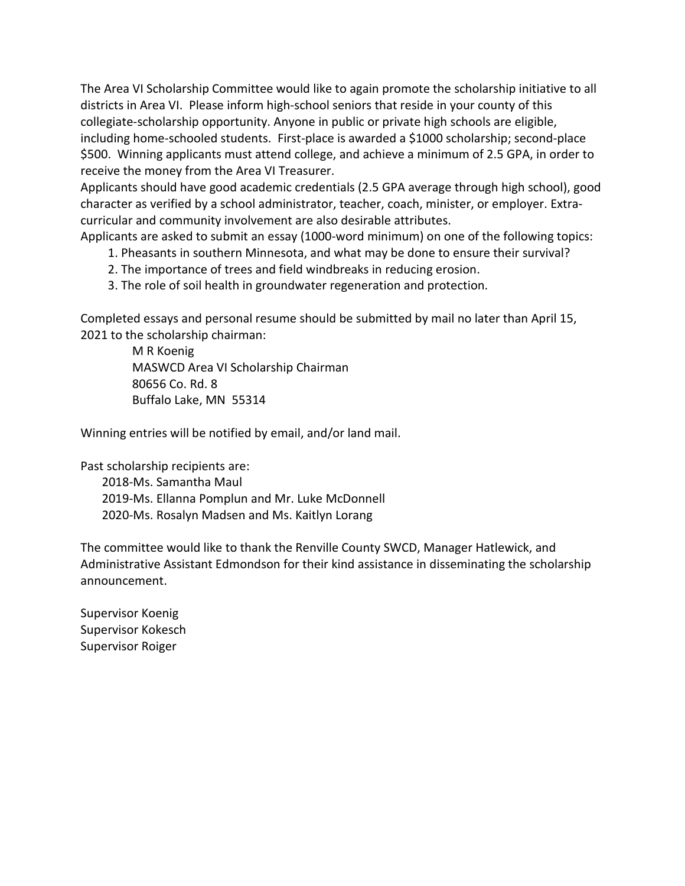The Area VI Scholarship Committee would like to again promote the scholarship initiative to all districts in Area VI. Please inform high-school seniors that reside in your county of this collegiate-scholarship opportunity. Anyone in public or private high schools are eligible, including home-schooled students. First-place is awarded a \$1000 scholarship; second-place \$500. Winning applicants must attend college, and achieve a minimum of 2.5 GPA, in order to receive the money from the Area VI Treasurer.

Applicants should have good academic credentials (2.5 GPA average through high school), good character as verified by a school administrator, teacher, coach, minister, or employer. Extracurricular and community involvement are also desirable attributes.

Applicants are asked to submit an essay (1000-word minimum) on one of the following topics:

- 1. Pheasants in southern Minnesota, and what may be done to ensure their survival?
- 2. The importance of trees and field windbreaks in reducing erosion.
- 3. The role of soil health in groundwater regeneration and protection.

Completed essays and personal resume should be submitted by mail no later than April 15, 2021 to the scholarship chairman:

> M R Koenig MASWCD Area VI Scholarship Chairman 80656 Co. Rd. 8 Buffalo Lake, MN 55314

Winning entries will be notified by email, and/or land mail.

Past scholarship recipients are:

 2018-Ms. Samantha Maul 2019-Ms. Ellanna Pomplun and Mr. Luke McDonnell 2020-Ms. Rosalyn Madsen and Ms. Kaitlyn Lorang

The committee would like to thank the Renville County SWCD, Manager Hatlewick, and Administrative Assistant Edmondson for their kind assistance in disseminating the scholarship announcement.

Supervisor Koenig Supervisor Kokesch Supervisor Roiger